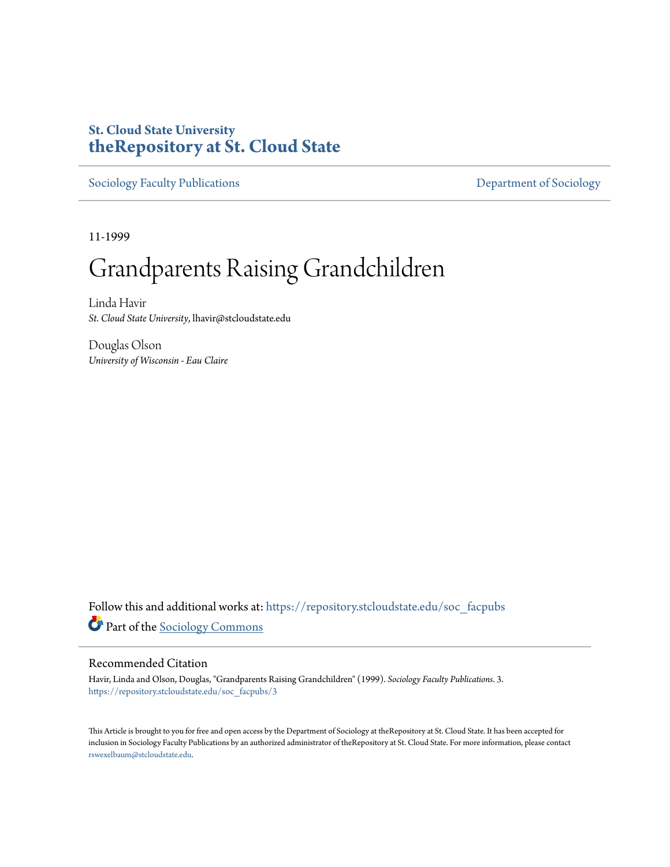## **St. Cloud State University [theRepository at St. Cloud State](https://repository.stcloudstate.edu?utm_source=repository.stcloudstate.edu%2Fsoc_facpubs%2F3&utm_medium=PDF&utm_campaign=PDFCoverPages)**

[Sociology Faculty Publications](https://repository.stcloudstate.edu/soc_facpubs?utm_source=repository.stcloudstate.edu%2Fsoc_facpubs%2F3&utm_medium=PDF&utm_campaign=PDFCoverPages) **Exercise 2018** [Department of Sociology](https://repository.stcloudstate.edu/soc?utm_source=repository.stcloudstate.edu%2Fsoc_facpubs%2F3&utm_medium=PDF&utm_campaign=PDFCoverPages)

11-1999

# Grandparents Raising Grandchildren

Linda Havir *St. Cloud State University*, lhavir@stcloudstate.edu

Douglas Olson *University of Wisconsin - Eau Claire*

Follow this and additional works at: [https://repository.stcloudstate.edu/soc\\_facpubs](https://repository.stcloudstate.edu/soc_facpubs?utm_source=repository.stcloudstate.edu%2Fsoc_facpubs%2F3&utm_medium=PDF&utm_campaign=PDFCoverPages) Part of the [Sociology Commons](http://network.bepress.com/hgg/discipline/416?utm_source=repository.stcloudstate.edu%2Fsoc_facpubs%2F3&utm_medium=PDF&utm_campaign=PDFCoverPages)

#### Recommended Citation

Havir, Linda and Olson, Douglas, "Grandparents Raising Grandchildren" (1999). *Sociology Faculty Publications*. 3. [https://repository.stcloudstate.edu/soc\\_facpubs/3](https://repository.stcloudstate.edu/soc_facpubs/3?utm_source=repository.stcloudstate.edu%2Fsoc_facpubs%2F3&utm_medium=PDF&utm_campaign=PDFCoverPages)

This Article is brought to you for free and open access by the Department of Sociology at theRepository at St. Cloud State. It has been accepted for inclusion in Sociology Faculty Publications by an authorized administrator of theRepository at St. Cloud State. For more information, please contact [rswexelbaum@stcloudstate.edu](mailto:rswexelbaum@stcloudstate.edu).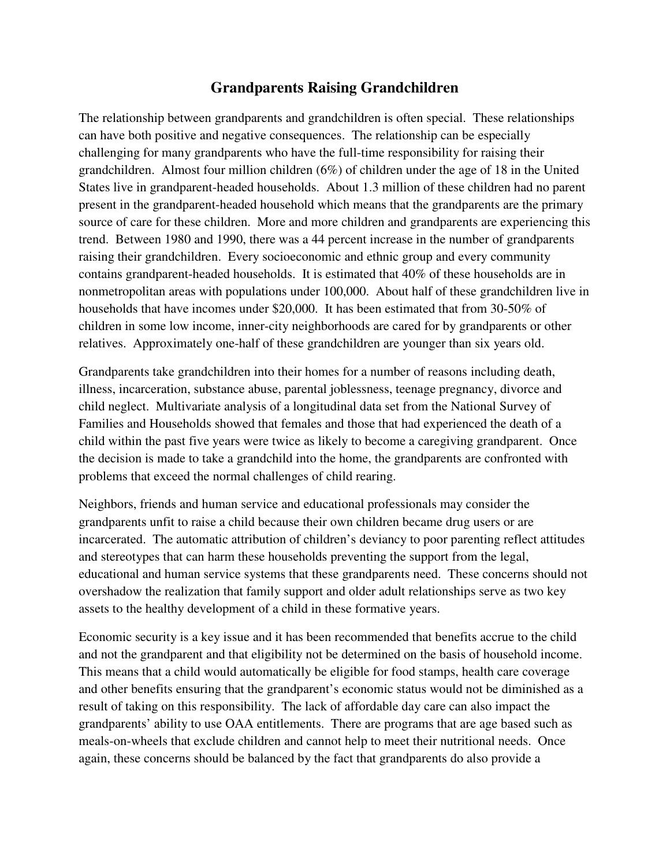### **Grandparents Raising Grandchildren**

The relationship between grandparents and grandchildren is often special. These relationships can have both positive and negative consequences. The relationship can be especially challenging for many grandparents who have the full-time responsibility for raising their grandchildren. Almost four million children (6%) of children under the age of 18 in the United States live in grandparent-headed households. About 1.3 million of these children had no parent present in the grandparent-headed household which means that the grandparents are the primary source of care for these children. More and more children and grandparents are experiencing this trend. Between 1980 and 1990, there was a 44 percent increase in the number of grandparents raising their grandchildren. Every socioeconomic and ethnic group and every community contains grandparent-headed households. It is estimated that 40% of these households are in nonmetropolitan areas with populations under 100,000. About half of these grandchildren live in households that have incomes under \$20,000. It has been estimated that from 30-50% of children in some low income, inner-city neighborhoods are cared for by grandparents or other relatives. Approximately one-half of these grandchildren are younger than six years old.

Grandparents take grandchildren into their homes for a number of reasons including death, illness, incarceration, substance abuse, parental joblessness, teenage pregnancy, divorce and child neglect. Multivariate analysis of a longitudinal data set from the National Survey of Families and Households showed that females and those that had experienced the death of a child within the past five years were twice as likely to become a caregiving grandparent. Once the decision is made to take a grandchild into the home, the grandparents are confronted with problems that exceed the normal challenges of child rearing.

Neighbors, friends and human service and educational professionals may consider the grandparents unfit to raise a child because their own children became drug users or are incarcerated. The automatic attribution of children's deviancy to poor parenting reflect attitudes and stereotypes that can harm these households preventing the support from the legal, educational and human service systems that these grandparents need. These concerns should not overshadow the realization that family support and older adult relationships serve as two key assets to the healthy development of a child in these formative years.

Economic security is a key issue and it has been recommended that benefits accrue to the child and not the grandparent and that eligibility not be determined on the basis of household income. This means that a child would automatically be eligible for food stamps, health care coverage and other benefits ensuring that the grandparent's economic status would not be diminished as a result of taking on this responsibility. The lack of affordable day care can also impact the grandparents' ability to use OAA entitlements. There are programs that are age based such as meals-on-wheels that exclude children and cannot help to meet their nutritional needs. Once again, these concerns should be balanced by the fact that grandparents do also provide a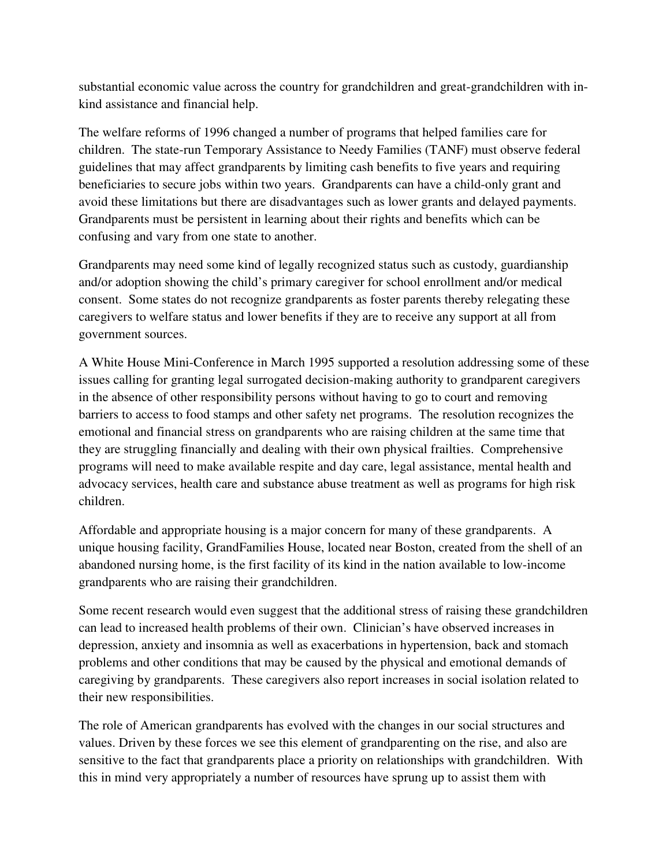substantial economic value across the country for grandchildren and great-grandchildren with inkind assistance and financial help.

The welfare reforms of 1996 changed a number of programs that helped families care for children. The state-run Temporary Assistance to Needy Families (TANF) must observe federal guidelines that may affect grandparents by limiting cash benefits to five years and requiring beneficiaries to secure jobs within two years. Grandparents can have a child-only grant and avoid these limitations but there are disadvantages such as lower grants and delayed payments. Grandparents must be persistent in learning about their rights and benefits which can be confusing and vary from one state to another.

Grandparents may need some kind of legally recognized status such as custody, guardianship and/or adoption showing the child's primary caregiver for school enrollment and/or medical consent. Some states do not recognize grandparents as foster parents thereby relegating these caregivers to welfare status and lower benefits if they are to receive any support at all from government sources.

A White House Mini-Conference in March 1995 supported a resolution addressing some of these issues calling for granting legal surrogated decision-making authority to grandparent caregivers in the absence of other responsibility persons without having to go to court and removing barriers to access to food stamps and other safety net programs. The resolution recognizes the emotional and financial stress on grandparents who are raising children at the same time that they are struggling financially and dealing with their own physical frailties. Comprehensive programs will need to make available respite and day care, legal assistance, mental health and advocacy services, health care and substance abuse treatment as well as programs for high risk children.

Affordable and appropriate housing is a major concern for many of these grandparents. A unique housing facility, GrandFamilies House, located near Boston, created from the shell of an abandoned nursing home, is the first facility of its kind in the nation available to low-income grandparents who are raising their grandchildren.

Some recent research would even suggest that the additional stress of raising these grandchildren can lead to increased health problems of their own. Clinician's have observed increases in depression, anxiety and insomnia as well as exacerbations in hypertension, back and stomach problems and other conditions that may be caused by the physical and emotional demands of caregiving by grandparents. These caregivers also report increases in social isolation related to their new responsibilities.

The role of American grandparents has evolved with the changes in our social structures and values. Driven by these forces we see this element of grandparenting on the rise, and also are sensitive to the fact that grandparents place a priority on relationships with grandchildren. With this in mind very appropriately a number of resources have sprung up to assist them with